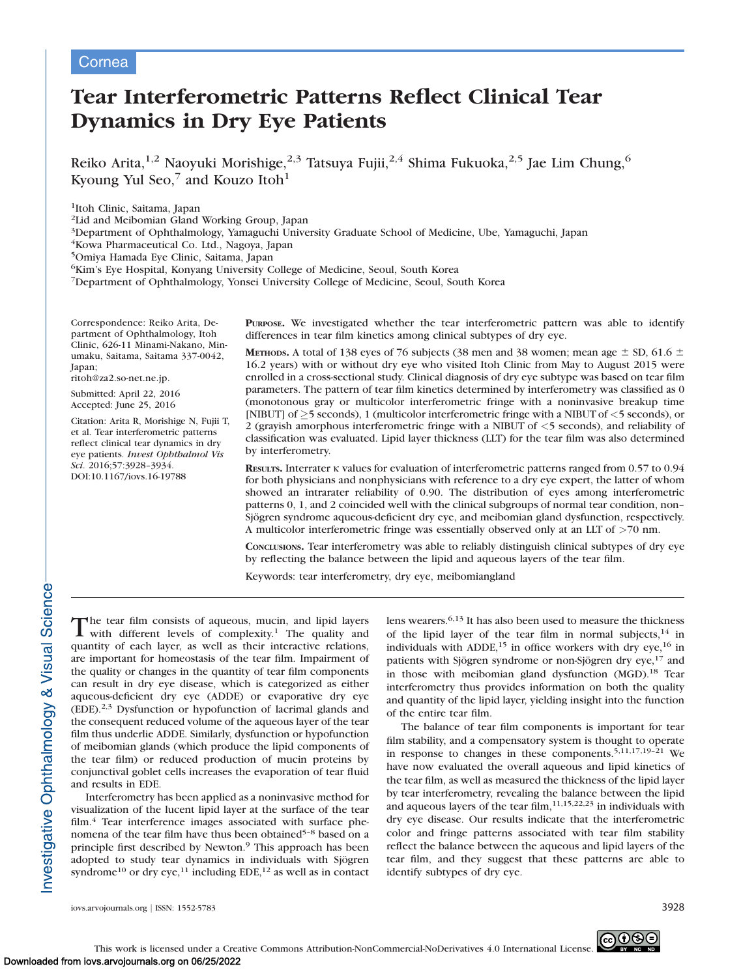# Cornea

# Tear Interferometric Patterns Reflect Clinical Tear Dynamics in Dry Eye Patients

Reiko Arita,<sup>1,2</sup> Naoyuki Morishige,<sup>2,3</sup> Tatsuya Fujii,<sup>2,4</sup> Shima Fukuoka,<sup>2,5</sup> Jae Lim Chung,<sup>6</sup> Kyoung Yul Seo,<sup>7</sup> and Kouzo Itoh<sup>1</sup>

1Itoh Clinic, Saitama, Japan

2Lid and Meibomian Gland Working Group, Japan

3Department of Ophthalmology, Yamaguchi University Graduate School of Medicine, Ube, Yamaguchi, Japan

4Kowa Pharmaceutical Co. Ltd., Nagoya, Japan

5Omiya Hamada Eye Clinic, Saitama, Japan

6Kim's Eye Hospital, Konyang University College of Medicine, Seoul, South Korea

7Department of Ophthalmology, Yonsei University College of Medicine, Seoul, South Korea

Correspondence: Reiko Arita, Department of Ophthalmology, Itoh Clinic, 626-11 Minami-Nakano, Minumaku, Saitama, Saitama 337-0042, Japan;

ritoh@za2.so-net.ne.jp.

Submitted: April 22, 2016 Accepted: June 25, 2016

Citation: Arita R, Morishige N, Fujii T, et al. Tear interferometric patterns reflect clinical tear dynamics in dry eye patients. Invest Ophthalmol Vis Sci. 2016;57:3928–3934. DOI:10.1167/iovs.16-19788

PURPOSE. We investigated whether the tear interferometric pattern was able to identify differences in tear film kinetics among clinical subtypes of dry eye.

METHODS. A total of 138 eyes of 76 subjects (38 men and 38 women; mean age  $\pm$  SD, 61.6  $\pm$ 16.2 years) with or without dry eye who visited Itoh Clinic from May to August 2015 were enrolled in a cross-sectional study. Clinical diagnosis of dry eye subtype was based on tear film parameters. The pattern of tear film kinetics determined by interferometry was classified as 0 (monotonous gray or multicolor interferometric fringe with a noninvasive breakup time [NIBUT] of  $\geq$ 5 seconds), 1 (multicolor interferometric fringe with a NIBUT of  $\lt$ 5 seconds), or 2 (grayish amorphous interferometric fringe with a NIBUT of <5 seconds), and reliability of classification was evaluated. Lipid layer thickness (LLT) for the tear film was also determined by interferometry.

RESULTS. Interrater k values for evaluation of interferometric patterns ranged from 0.57 to 0.94 for both physicians and nonphysicians with reference to a dry eye expert, the latter of whom showed an intrarater reliability of 0.90. The distribution of eyes among interferometric patterns 0, 1, and 2 coincided well with the clinical subgroups of normal tear condition, non– Sjögren syndrome aqueous-deficient dry eye, and meibomian gland dysfunction, respectively. A multicolor interferometric fringe was essentially observed only at an LLT of >70 nm.

CONCLUSIONS. Tear interferometry was able to reliably distinguish clinical subtypes of dry eye by reflecting the balance between the lipid and aqueous layers of the tear film.

Keywords: tear interferometry, dry eye, meibomiangland

The tear film consists of aqueous, mucin, and lipid layers<br>with different levels of complexity<sup>1</sup> The quality and with different levels of complexity.<sup>1</sup> The quality and quantity of each layer, as well as their interactive relations, are important for homeostasis of the tear film. Impairment of the quality or changes in the quantity of tear film components can result in dry eye disease, which is categorized as either aqueous-deficient dry eye (ADDE) or evaporative dry eye (EDE).2,3 Dysfunction or hypofunction of lacrimal glands and the consequent reduced volume of the aqueous layer of the tear film thus underlie ADDE. Similarly, dysfunction or hypofunction of meibomian glands (which produce the lipid components of the tear film) or reduced production of mucin proteins by conjunctival goblet cells increases the evaporation of tear fluid and results in EDE.

Interferometry has been applied as a noninvasive method for visualization of the lucent lipid layer at the surface of the tear film.<sup>4</sup> Tear interference images associated with surface phenomena of the tear film have thus been obtained<sup>5-8</sup> based on a principle first described by Newton.<sup>9</sup> This approach has been adopted to study tear dynamics in individuals with Sjögren syndrome<sup>10</sup> or dry eye,<sup>11</sup> including EDE,<sup>12</sup> as well as in contact lens wearers.6,13 It has also been used to measure the thickness of the lipid layer of the tear film in normal subjects, $14$  in individuals with ADDE,<sup>15</sup> in office workers with dry eye,<sup>16</sup> in patients with Sjögren syndrome or non-Sjögren dry eye,<sup>17</sup> and in those with meibomian gland dysfunction (MGD).<sup>18</sup> Tear interferometry thus provides information on both the quality and quantity of the lipid layer, yielding insight into the function of the entire tear film.

The balance of tear film components is important for tear film stability, and a compensatory system is thought to operate in response to changes in these components.5,11,17,19–21 We have now evaluated the overall aqueous and lipid kinetics of the tear film, as well as measured the thickness of the lipid layer by tear interferometry, revealing the balance between the lipid and aqueous layers of the tear film,  $11,15,22,23$  in individuals with dry eye disease. Our results indicate that the interferometric color and fringe patterns associated with tear film stability reflect the balance between the aqueous and lipid layers of the tear film, and they suggest that these patterns are able to identify subtypes of dry eye.

Investigative Ophthalmology & Visual Science-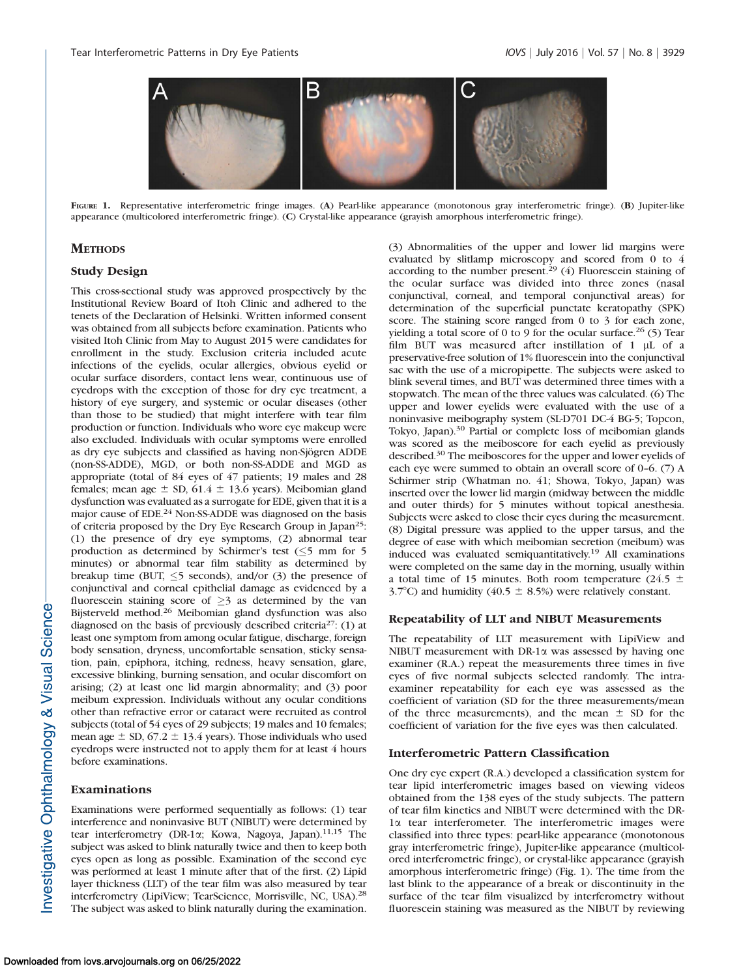

FIGURE 1. Representative interferometric fringe images. (A) Pearl-like appearance (monotonous gray interferometric fringe). (B) Jupiter-like appearance (multicolored interferometric fringe). (C) Crystal-like appearance (grayish amorphous interferometric fringe).

## **METHODS**

## Study Design

This cross-sectional study was approved prospectively by the Institutional Review Board of Itoh Clinic and adhered to the tenets of the Declaration of Helsinki. Written informed consent was obtained from all subjects before examination. Patients who visited Itoh Clinic from May to August 2015 were candidates for enrollment in the study. Exclusion criteria included acute infections of the eyelids, ocular allergies, obvious eyelid or ocular surface disorders, contact lens wear, continuous use of eyedrops with the exception of those for dry eye treatment, a history of eye surgery, and systemic or ocular diseases (other than those to be studied) that might interfere with tear film production or function. Individuals who wore eye makeup were also excluded. Individuals with ocular symptoms were enrolled as dry eye subjects and classified as having non-Sjögren ADDE (non-SS-ADDE), MGD, or both non-SS-ADDE and MGD as appropriate (total of 84 eyes of 47 patients; 19 males and 28 females; mean age  $\pm$  SD, 61.4  $\pm$  13.6 years). Meibomian gland dysfunction was evaluated as a surrogate for EDE, given that it is a major cause of EDE.<sup>24</sup> Non-SS-ADDE was diagnosed on the basis of criteria proposed by the Dry Eye Research Group in Japan25: (1) the presence of dry eye symptoms, (2) abnormal tear production as determined by Schirmer's test  $(\leq)$  mm for 5 minutes) or abnormal tear film stability as determined by breakup time (BUT,  $\leq$ 5 seconds), and/or (3) the presence of conjunctival and corneal epithelial damage as evidenced by a fluorescein staining score of  $\geq$ 3 as determined by the van Bijsterveld method.26 Meibomian gland dysfunction was also diagnosed on the basis of previously described criteria<sup>27</sup>: (1) at least one symptom from among ocular fatigue, discharge, foreign body sensation, dryness, uncomfortable sensation, sticky sensation, pain, epiphora, itching, redness, heavy sensation, glare, excessive blinking, burning sensation, and ocular discomfort on arising; (2) at least one lid margin abnormality; and (3) poor meibum expression. Individuals without any ocular conditions other than refractive error or cataract were recruited as control subjects (total of 54 eyes of 29 subjects; 19 males and 10 females; mean age  $\pm$  SD, 67.2  $\pm$  13.4 years). Those individuals who used eyedrops were instructed not to apply them for at least 4 hours before examinations.

## Examinations

Examinations were performed sequentially as follows: (1) tear interference and noninvasive BUT (NIBUT) were determined by tear interferometry (DR-1 $\alpha$ ; Kowa, Nagoya, Japan).<sup>11,15</sup> The subject was asked to blink naturally twice and then to keep both eyes open as long as possible. Examination of the second eye was performed at least 1 minute after that of the first. (2) Lipid layer thickness (LLT) of the tear film was also measured by tear interferometry (LipiView; TearScience, Morrisville, NC, USA).28 The subject was asked to blink naturally during the examination.

(3) Abnormalities of the upper and lower lid margins were evaluated by slitlamp microscopy and scored from 0 to 4 according to the number present.<sup>29</sup> (4) Fluorescein staining of the ocular surface was divided into three zones (nasal conjunctival, corneal, and temporal conjunctival areas) for determination of the superficial punctate keratopathy (SPK) score. The staining score ranged from 0 to 3 for each zone, yielding a total score of 0 to 9 for the ocular surface.<sup>26</sup> (5) Tear film BUT was measured after instillation of  $1 \mu L$  of a preservative-free solution of 1% fluorescein into the conjunctival sac with the use of a micropipette. The subjects were asked to blink several times, and BUT was determined three times with a stopwatch. The mean of the three values was calculated. (6) The upper and lower eyelids were evaluated with the use of a noninvasive meibography system (SL-D701 DC-4 BG-5; Topcon, Tokyo, Japan).<sup>30</sup> Partial or complete loss of meibomian glands was scored as the meiboscore for each eyelid as previously described.30 The meiboscores for the upper and lower eyelids of each eye were summed to obtain an overall score of 0–6. (7) A Schirmer strip (Whatman no. 41; Showa, Tokyo, Japan) was inserted over the lower lid margin (midway between the middle and outer thirds) for 5 minutes without topical anesthesia. Subjects were asked to close their eyes during the measurement. (8) Digital pressure was applied to the upper tarsus, and the degree of ease with which meibomian secretion (meibum) was induced was evaluated semiquantitatively.19 All examinations were completed on the same day in the morning, usually within a total time of 15 minutes. Both room temperature (24.5  $\pm$ 3.7°C) and humidity (40.5  $\pm$  8.5%) were relatively constant.

### Repeatability of LLT and NIBUT Measurements

The repeatability of LLT measurement with LipiView and NIBUT measurement with DR-1a was assessed by having one examiner (R.A.) repeat the measurements three times in five eyes of five normal subjects selected randomly. The intraexaminer repeatability for each eye was assessed as the coefficient of variation (SD for the three measurements/mean of the three measurements), and the mean  $\pm$  SD for the coefficient of variation for the five eyes was then calculated.

### Interferometric Pattern Classification

One dry eye expert (R.A.) developed a classification system for tear lipid interferometric images based on viewing videos obtained from the 138 eyes of the study subjects. The pattern of tear film kinetics and NIBUT were determined with the DR-1a tear interferometer. The interferometric images were classified into three types: pearl-like appearance (monotonous gray interferometric fringe), Jupiter-like appearance (multicolored interferometric fringe), or crystal-like appearance (grayish amorphous interferometric fringe) (Fig. 1). The time from the last blink to the appearance of a break or discontinuity in the surface of the tear film visualized by interferometry without fluorescein staining was measured as the NIBUT by reviewing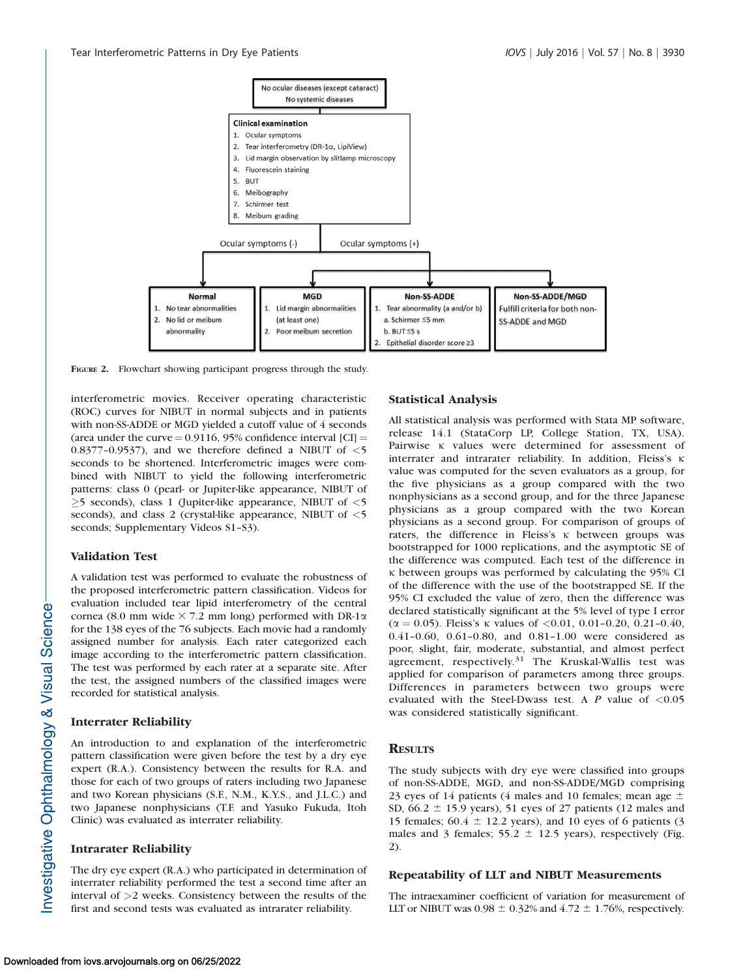### Tear Interferometric Patterns in Dry Eye Patients IOVS | July 2016 | Vol. 57 | No. 8 | 3930



FIGURE 2. Flowchart showing participant progress through the study.

interferometric movies. Receiver operating characteristic (ROC) curves for NIBUT in normal subjects and in patients with non-SS-ADDE or MGD yielded a cutoff value of 4 seconds (area under the curve  $= 0.9116$ , 95% confidence interval [CI]  $=$ 0.8377-0.9537), and we therefore defined a NIBUT of  $\leq$ 5 seconds to be shortened. Interferometric images were combined with NIBUT to yield the following interferometric patterns: class 0 (pearl- or Jupiter-like appearance, NIBUT of  $\geq$ 5 seconds), class 1 (Jupiter-like appearance, NIBUT of  $\leq$ 5 seconds), and class 2 (crystal-like appearance, NIBUT of  $\leq$ 5 seconds; Supplementary Videos S1–S3).

## Validation Test

A validation test was performed to evaluate the robustness of the proposed interferometric pattern classification. Videos for evaluation included tear lipid interferometry of the central cornea (8.0 mm wide  $\times$  7.2 mm long) performed with DR-1 $\alpha$ for the 138 eyes of the 76 subjects. Each movie had a randomly assigned number for analysis. Each rater categorized each image according to the interferometric pattern classification. The test was performed by each rater at a separate site. After the test, the assigned numbers of the classified images were recorded for statistical analysis.

## Interrater Reliability

An introduction to and explanation of the interferometric pattern classification were given before the test by a dry eye expert (R.A.). Consistency between the results for R.A. and those for each of two groups of raters including two Japanese and two Korean physicians (S.F., N.M., K.Y.S., and J.L.C.) and two Japanese nonphysicians (T.F. and Yasuko Fukuda, Itoh Clinic) was evaluated as interrater reliability.

## Intrarater Reliability

The dry eye expert (R.A.) who participated in determination of interrater reliability performed the test a second time after an interval of >2 weeks. Consistency between the results of the first and second tests was evaluated as intrarater reliability.

### Statistical Analysis

All statistical analysis was performed with Stata MP software, release 14.1 (StataCorp LP, College Station, TX, USA). Pairwise  $\kappa$  values were determined for assessment of interrater and intrarater reliability. In addition, Fleiss's  $\kappa$ value was computed for the seven evaluators as a group, for the five physicians as a group compared with the two nonphysicians as a second group, and for the three Japanese physicians as a group compared with the two Korean physicians as a second group. For comparison of groups of raters, the difference in Fleiss's  $\kappa$  between groups was bootstrapped for 1000 replications, and the asymptotic SE of the difference was computed. Each test of the difference in  $\kappa$  between groups was performed by calculating the 95% CI of the difference with the use of the bootstrapped SE. If the 95% CI excluded the value of zero, then the difference was declared statistically significant at the 5% level of type I error ( $\alpha$  = 0.05). Fleiss's  $\kappa$  values of <0.01, 0.01-0.20, 0.21-0.40, 0.41–0.60, 0.61–0.80, and 0.81–1.00 were considered as poor, slight, fair, moderate, substantial, and almost perfect agreement, respectively.<sup>31</sup> The Kruskal-Wallis test was applied for comparison of parameters among three groups. Differences in parameters between two groups were evaluated with the Steel-Dwass test. A  $P$  value of  $\langle 0.05$ was considered statistically significant.

### **RESULTS**

The study subjects with dry eye were classified into groups of non-SS-ADDE, MGD, and non-SS-ADDE/MGD comprising 23 eyes of 14 patients (4 males and 10 females; mean age  $\pm$ SD,  $66.2 \pm 15.9$  years), 51 eyes of 27 patients (12 males and 15 females;  $60.4 \pm 12.2$  years), and 10 eyes of 6 patients (3 males and 3 females;  $55.2 \pm 12.5$  years), respectively (Fig. 2).

## Repeatability of LLT and NIBUT Measurements

The intraexaminer coefficient of variation for measurement of LLT or NIBUT was  $0.98 \pm 0.32\%$  and  $4.72 \pm 1.76\%$ , respectively.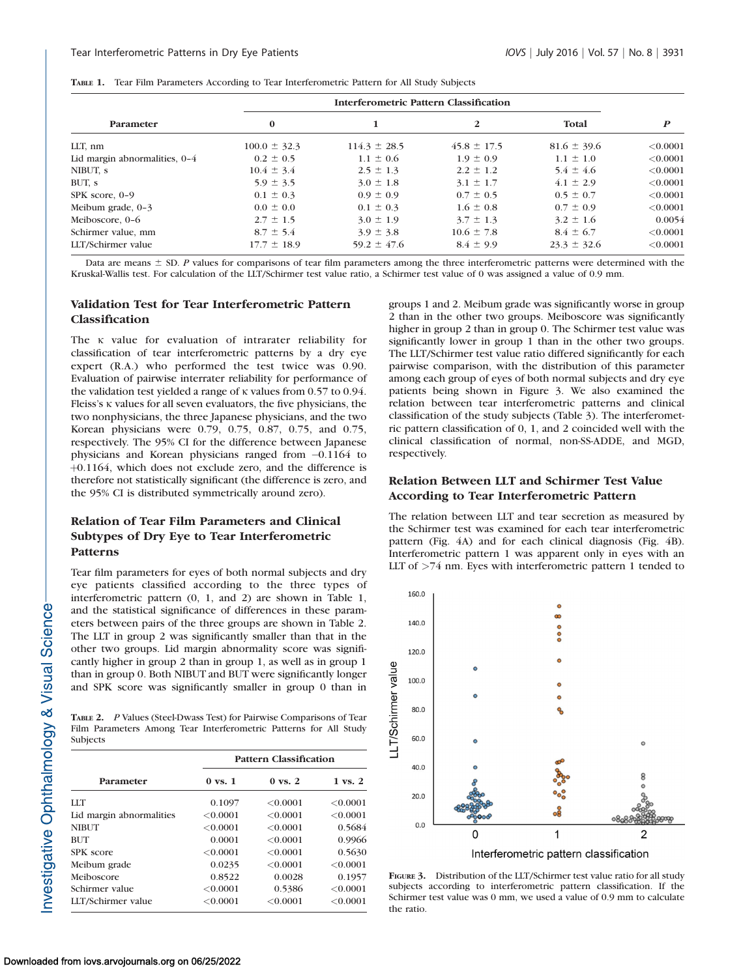|  |  |  | TABLE 1. Tear Film Parameters According to Tear Interferometric Pattern for All Study Subjects |  |
|--|--|--|------------------------------------------------------------------------------------------------|--|
|--|--|--|------------------------------------------------------------------------------------------------|--|

|                               | Interferometric Pattern Classification |                  |                 |                 |                  |
|-------------------------------|----------------------------------------|------------------|-----------------|-----------------|------------------|
| Parameter                     | $\bf{0}$                               |                  | $\mathbf{2}$    | Total           | $\boldsymbol{P}$ |
| LLT, nm                       | $100.0 \pm 32.3$                       | $114.3 \pm 28.5$ | $45.8 \pm 17.5$ | $81.6 \pm 39.6$ | < 0.0001         |
| Lid margin abnormalities, 0-4 | $0.2 \pm 0.5$                          | $1.1 \pm 0.6$    | $1.9 \pm 0.9$   | $1.1 \pm 1.0$   | < 0.0001         |
| NIBUT, s                      | $10.4 \pm 3.4$                         | $2.5 \pm 1.3$    | $2.2 \pm 1.2$   | $5.4 \pm 4.6$   | < 0.0001         |
| BUT, s                        | $5.9 \pm 3.5$                          | $3.0 \pm 1.8$    | $3.1 \pm 1.7$   | $4.1 \pm 2.9$   | < 0.0001         |
| SPK score, 0-9                | $0.1 \pm 0.3$                          | $0.9 \pm 0.9$    | $0.7 \pm 0.5$   | $0.5 \pm 0.7$   | < 0.0001         |
| Meibum grade, $0-3$           | $0.0 \pm 0.0$                          | $0.1 \pm 0.3$    | $1.6 \pm 0.8$   | $0.7 \pm 0.9$   | < 0.0001         |
| Meiboscore, 0-6               | $2.7 \pm 1.5$                          | $3.0 \pm 1.9$    | $3.7 \pm 1.3$   | $3.2 \pm 1.6$   | 0.0054           |
| Schirmer value, mm            | $8.7 \pm 5.4$                          | $3.9 \pm 3.8$    | $10.6 \pm 7.8$  | $8.4 \pm 6.7$   | < 0.0001         |
| LLT/Schirmer value            | $17.7 \pm 18.9$                        | $59.2 \pm 47.6$  | $8.4 \pm 9.9$   | $23.3 \pm 32.6$ | < 0.0001         |

Data are means  $\pm$  SD. P values for comparisons of tear film parameters among the three interferometric patterns were determined with the Kruskal-Wallis test. For calculation of the LLT/Schirmer test value ratio, a Schirmer test value of 0 was assigned a value of 0.9 mm.

## Validation Test for Tear Interferometric Pattern Classification

The  $\kappa$  value for evaluation of intrarater reliability for classification of tear interferometric patterns by a dry eye expert (R.A.) who performed the test twice was 0.90. Evaluation of pairwise interrater reliability for performance of the validation test yielded a range of  $\kappa$  values from 0.57 to 0.94. Fleiss's K values for all seven evaluators, the five physicians, the two nonphysicians, the three Japanese physicians, and the two Korean physicians were 0.79, 0.75, 0.87, 0.75, and 0.75, respectively. The 95% CI for the difference between Japanese physicians and Korean physicians ranged from  $-0.1164$  to þ0.1164, which does not exclude zero, and the difference is therefore not statistically significant (the difference is zero, and the 95% CI is distributed symmetrically around zero).

## Relation of Tear Film Parameters and Clinical Subtypes of Dry Eye to Tear Interferometric Patterns

Tear film parameters for eyes of both normal subjects and dry eye patients classified according to the three types of interferometric pattern (0, 1, and 2) are shown in Table 1, and the statistical significance of differences in these parameters between pairs of the three groups are shown in Table 2. The LLT in group 2 was significantly smaller than that in the other two groups. Lid margin abnormality score was significantly higher in group 2 than in group 1, as well as in group 1 than in group 0. Both NIBUT and BUT were significantly longer and SPK score was significantly smaller in group 0 than in

TABLE 2. P Values (Steel-Dwass Test) for Pairwise Comparisons of Tear Film Parameters Among Tear Interferometric Patterns for All Study Subjects

|                          | <b>Pattern Classification</b> |                    |                    |  |
|--------------------------|-------------------------------|--------------------|--------------------|--|
| Parameter                | $0 \text{ vs. } 1$            | $0 \text{ vs. } 2$ | $1 \text{ vs. } 2$ |  |
| LLT                      | 0.1097                        | < 0.0001           | < 0.0001           |  |
| Lid margin abnormalities | < 0.0001                      | < 0.0001           | < 0.0001           |  |
| <b>NIBUT</b>             | < 0.0001                      | < 0.0001           | 0.5684             |  |
| <b>BUT</b>               | 0.0001                        | < 0.0001           | 0.9966             |  |
| SPK score                | < 0.0001                      | < 0.0001           | 0.5630             |  |
| Meibum grade             | 0.0235                        | < 0.0001           | < 0.0001           |  |
| Meiboscore               | 0.8522                        | 0.0028             | 0.1957             |  |
| Schirmer value           | < 0.0001                      | 0.5386             | < 0.0001           |  |
| LLT/Schirmer value       | < 0.0001                      | < 0.0001           | < 0.0001           |  |

groups 1 and 2. Meibum grade was significantly worse in group 2 than in the other two groups. Meiboscore was significantly higher in group 2 than in group 0. The Schirmer test value was significantly lower in group 1 than in the other two groups. The LLT/Schirmer test value ratio differed significantly for each pairwise comparison, with the distribution of this parameter among each group of eyes of both normal subjects and dry eye patients being shown in Figure 3. We also examined the relation between tear interferometric patterns and clinical classification of the study subjects (Table 3). The interferometric pattern classification of 0, 1, and 2 coincided well with the clinical classification of normal, non-SS-ADDE, and MGD, respectively.

## Relation Between LLT and Schirmer Test Value According to Tear Interferometric Pattern

The relation between LLT and tear secretion as measured by the Schirmer test was examined for each tear interferometric pattern (Fig. 4A) and for each clinical diagnosis (Fig. 4B). Interferometric pattern 1 was apparent only in eyes with an LLT of >74 nm. Eyes with interferometric pattern 1 tended to



FIGURE 3. Distribution of the LLT/Schirmer test value ratio for all study subjects according to interferometric pattern classification. If the Schirmer test value was 0 mm, we used a value of 0.9 mm to calculate the ratio.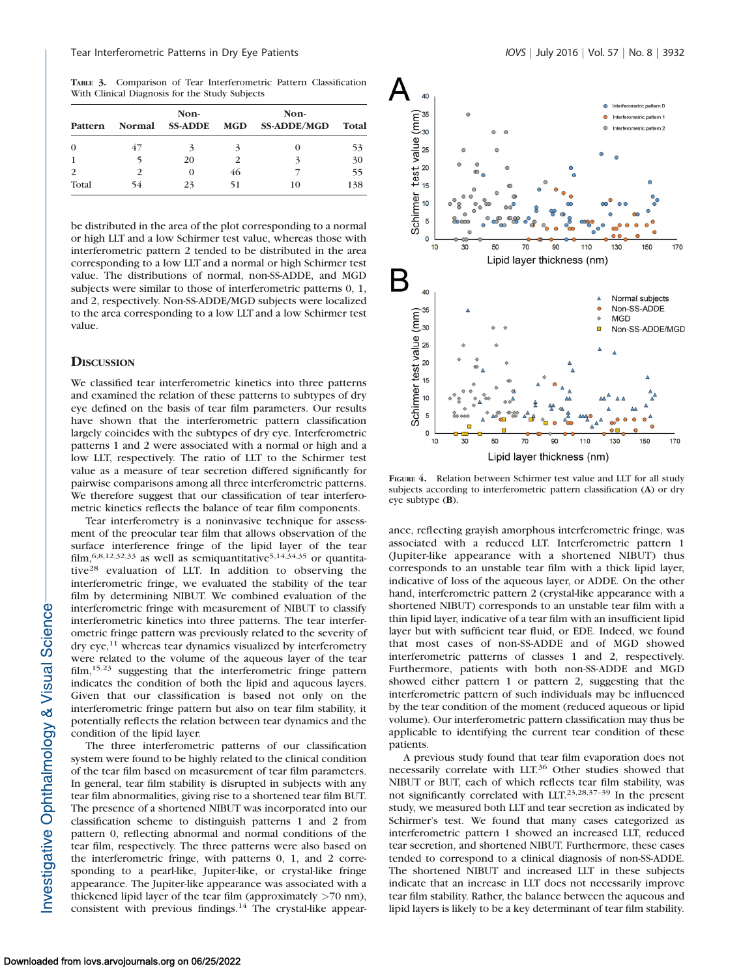TABLE 3. Comparison of Tear Interferometric Pattern Classification With Clinical Diagnosis for the Study Subjects

|          | Non-          |                |               | Non-               |       |  |
|----------|---------------|----------------|---------------|--------------------|-------|--|
| Pattern  | <b>Normal</b> | <b>SS-ADDE</b> | MGD           | <b>SS-ADDE/MGD</b> | Total |  |
| $\Omega$ | 47            | 2              | 2             |                    | 53    |  |
|          |               | 20             | $\mathcal{P}$ | 3                  | 30    |  |
|          | 2             | $\Omega$       | 46            |                    | 55    |  |
| Total    | 54            | 23             | 51            | 10                 | 138   |  |

be distributed in the area of the plot corresponding to a normal or high LLT and a low Schirmer test value, whereas those with interferometric pattern 2 tended to be distributed in the area corresponding to a low LLT and a normal or high Schirmer test value. The distributions of normal, non-SS-ADDE, and MGD subjects were similar to those of interferometric patterns 0, 1, and 2, respectively. Non-SS-ADDE/MGD subjects were localized to the area corresponding to a low LLT and a low Schirmer test value.

#### **DISCUSSION**

We classified tear interferometric kinetics into three patterns and examined the relation of these patterns to subtypes of dry eye defined on the basis of tear film parameters. Our results have shown that the interferometric pattern classification largely coincides with the subtypes of dry eye. Interferometric patterns 1 and 2 were associated with a normal or high and a low LLT, respectively. The ratio of LLT to the Schirmer test value as a measure of tear secretion differed significantly for pairwise comparisons among all three interferometric patterns. We therefore suggest that our classification of tear interferometric kinetics reflects the balance of tear film components.

Tear interferometry is a noninvasive technique for assessment of the preocular tear film that allows observation of the surface interference fringe of the lipid layer of the tear film,  $6,8,12,32,33$  as well as semiquantitative<sup>5,14,34,35</sup> or quantitative<sup>28</sup> evaluation of LLT. In addition to observing the interferometric fringe, we evaluated the stability of the tear film by determining NIBUT. We combined evaluation of the interferometric fringe with measurement of NIBUT to classify interferometric kinetics into three patterns. The tear interferometric fringe pattern was previously related to the severity of dry eye,<sup>11</sup> whereas tear dynamics visualized by interferometry were related to the volume of the aqueous layer of the tear film,<sup>15,23</sup> suggesting that the interferometric fringe pattern indicates the condition of both the lipid and aqueous layers. Given that our classification is based not only on the interferometric fringe pattern but also on tear film stability, it potentially reflects the relation between tear dynamics and the condition of the lipid layer.

The three interferometric patterns of our classification system were found to be highly related to the clinical condition of the tear film based on measurement of tear film parameters. In general, tear film stability is disrupted in subjects with any tear film abnormalities, giving rise to a shortened tear film BUT. The presence of a shortened NIBUT was incorporated into our classification scheme to distinguish patterns 1 and 2 from pattern 0, reflecting abnormal and normal conditions of the tear film, respectively. The three patterns were also based on the interferometric fringe, with patterns 0, 1, and 2 corresponding to a pearl-like, Jupiter-like, or crystal-like fringe appearance. The Jupiter-like appearance was associated with a thickened lipid layer of the tear film (approximately  $>70$  nm), consistent with previous findings.<sup>14</sup> The crystal-like appear-



FIGURE 4. Relation between Schirmer test value and LLT for all study subjects according to interferometric pattern classification (A) or dry eye subtype (B).

ance, reflecting grayish amorphous interferometric fringe, was associated with a reduced LLT. Interferometric pattern 1 (Jupiter-like appearance with a shortened NIBUT) thus corresponds to an unstable tear film with a thick lipid layer, indicative of loss of the aqueous layer, or ADDE. On the other hand, interferometric pattern 2 (crystal-like appearance with a shortened NIBUT) corresponds to an unstable tear film with a thin lipid layer, indicative of a tear film with an insufficient lipid layer but with sufficient tear fluid, or EDE. Indeed, we found that most cases of non-SS-ADDE and of MGD showed interferometric patterns of classes 1 and 2, respectively. Furthermore, patients with both non-SS-ADDE and MGD showed either pattern 1 or pattern 2, suggesting that the interferometric pattern of such individuals may be influenced by the tear condition of the moment (reduced aqueous or lipid volume). Our interferometric pattern classification may thus be applicable to identifying the current tear condition of these patients.

A previous study found that tear film evaporation does not necessarily correlate with LLT.<sup>36</sup> Other studies showed that NIBUT or BUT, each of which reflects tear film stability, was not significantly correlated with LLT.23,28,37–39 In the present study, we measured both LLT and tear secretion as indicated by Schirmer's test. We found that many cases categorized as interferometric pattern 1 showed an increased LLT, reduced tear secretion, and shortened NIBUT. Furthermore, these cases tended to correspond to a clinical diagnosis of non-SS-ADDE. The shortened NIBUT and increased LLT in these subjects indicate that an increase in LLT does not necessarily improve tear film stability. Rather, the balance between the aqueous and lipid layers is likely to be a key determinant of tear film stability.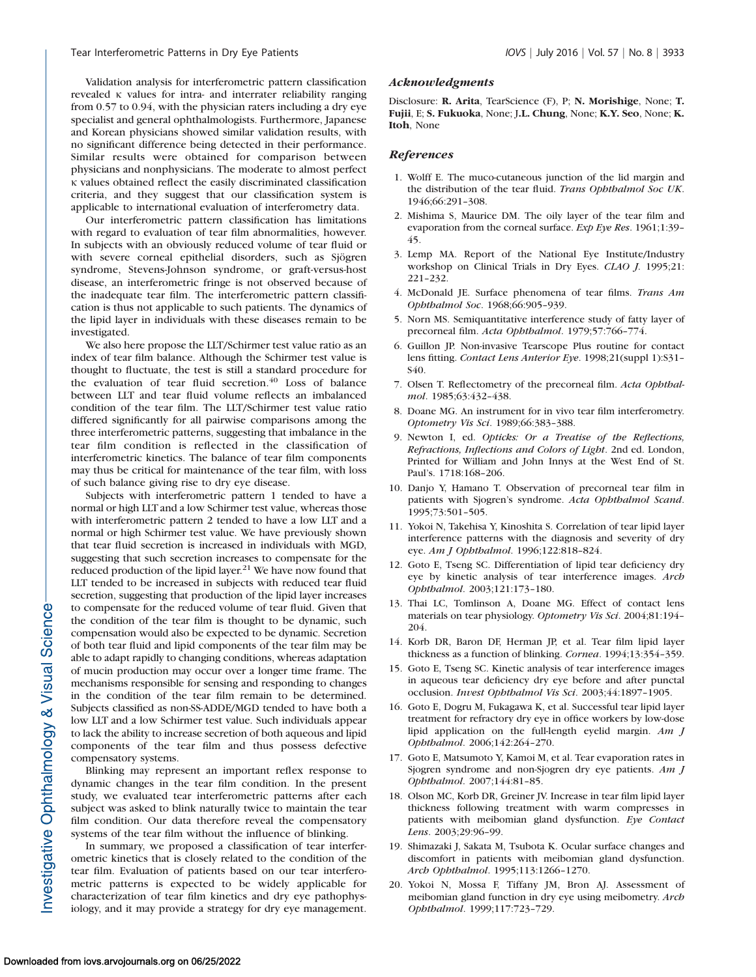Validation analysis for interferometric pattern classification revealed  $\kappa$  values for intra- and interrater reliability ranging from 0.57 to 0.94, with the physician raters including a dry eye specialist and general ophthalmologists. Furthermore, Japanese and Korean physicians showed similar validation results, with no significant difference being detected in their performance. Similar results were obtained for comparison between physicians and nonphysicians. The moderate to almost perfect j values obtained reflect the easily discriminated classification criteria, and they suggest that our classification system is applicable to international evaluation of interferometry data.

Our interferometric pattern classification has limitations with regard to evaluation of tear film abnormalities, however. In subjects with an obviously reduced volume of tear fluid or with severe corneal epithelial disorders, such as Sjögren syndrome, Stevens-Johnson syndrome, or graft-versus-host disease, an interferometric fringe is not observed because of the inadequate tear film. The interferometric pattern classification is thus not applicable to such patients. The dynamics of the lipid layer in individuals with these diseases remain to be investigated.

We also here propose the LLT/Schirmer test value ratio as an index of tear film balance. Although the Schirmer test value is thought to fluctuate, the test is still a standard procedure for the evaluation of tear fluid secretion. $40$  Loss of balance between LLT and tear fluid volume reflects an imbalanced condition of the tear film. The LLT/Schirmer test value ratio differed significantly for all pairwise comparisons among the three interferometric patterns, suggesting that imbalance in the tear film condition is reflected in the classification of interferometric kinetics. The balance of tear film components may thus be critical for maintenance of the tear film, with loss of such balance giving rise to dry eye disease.

Subjects with interferometric pattern 1 tended to have a normal or high LLT and a low Schirmer test value, whereas those with interferometric pattern 2 tended to have a low LLT and a normal or high Schirmer test value. We have previously shown that tear fluid secretion is increased in individuals with MGD, suggesting that such secretion increases to compensate for the reduced production of the lipid layer.<sup>21</sup> We have now found that LLT tended to be increased in subjects with reduced tear fluid secretion, suggesting that production of the lipid layer increases to compensate for the reduced volume of tear fluid. Given that the condition of the tear film is thought to be dynamic, such compensation would also be expected to be dynamic. Secretion of both tear fluid and lipid components of the tear film may be able to adapt rapidly to changing conditions, whereas adaptation of mucin production may occur over a longer time frame. The mechanisms responsible for sensing and responding to changes in the condition of the tear film remain to be determined. Subjects classified as non-SS-ADDE/MGD tended to have both a low LLT and a low Schirmer test value. Such individuals appear to lack the ability to increase secretion of both aqueous and lipid components of the tear film and thus possess defective compensatory systems.

Blinking may represent an important reflex response to dynamic changes in the tear film condition. In the present study, we evaluated tear interferometric patterns after each subject was asked to blink naturally twice to maintain the tear film condition. Our data therefore reveal the compensatory systems of the tear film without the influence of blinking.

In summary, we proposed a classification of tear interferometric kinetics that is closely related to the condition of the tear film. Evaluation of patients based on our tear interferometric patterns is expected to be widely applicable for characterization of tear film kinetics and dry eye pathophysiology, and it may provide a strategy for dry eye management.

#### Acknowledgments

Disclosure: R. Arita, TearScience (F), P; N. Morishige, None; T. Fujii, E; S. Fukuoka, None; J.L. Chung, None; K.Y. Seo, None; K. Itoh, None

#### References

- 1. Wolff E. The muco-cutaneous junction of the lid margin and the distribution of the tear fluid. Trans Ophthalmol Soc UK. 1946;66:291–308.
- 2. Mishima S, Maurice DM. The oily layer of the tear film and evaporation from the corneal surface. Exp Eye Res. 1961;1:39-45.
- 3. Lemp MA. Report of the National Eye Institute/Industry workshop on Clinical Trials in Dry Eyes. CLAO J. 1995;21: 221–232.
- 4. McDonald JE. Surface phenomena of tear films. Trans Am Ophthalmol Soc. 1968;66:905–939.
- 5. Norn MS. Semiquantitative interference study of fatty layer of precorneal film. Acta Ophthalmol. 1979;57:766–774.
- 6. Guillon JP. Non-invasive Tearscope Plus routine for contact lens fitting. Contact Lens Anterior Eye. 1998;21(suppl 1):S31– S40.
- 7. Olsen T. Reflectometry of the precorneal film. Acta Ophthalmol. 1985;63:432–438.
- 8. Doane MG. An instrument for in vivo tear film interferometry. Optometry Vis Sci. 1989;66:383–388.
- 9. Newton I, ed. Opticks: Or a Treatise of the Reflections, Refractions, Inflections and Colors of Light. 2nd ed. London, Printed for William and John Innys at the West End of St. Paul's. 1718:168–206.
- 10. Danjo Y, Hamano T. Observation of precorneal tear film in patients with Sjogren's syndrome. Acta Ophthalmol Scand. 1995;73:501–505.
- 11. Yokoi N, Takehisa Y, Kinoshita S. Correlation of tear lipid layer interference patterns with the diagnosis and severity of dry eye. Am J Ophthalmol. 1996;122:818–824.
- 12. Goto E, Tseng SC. Differentiation of lipid tear deficiency dry eye by kinetic analysis of tear interference images. Arch Ophthalmol. 2003;121:173–180.
- 13. Thai LC, Tomlinson A, Doane MG. Effect of contact lens materials on tear physiology. Optometry Vis Sci. 2004;81:194– 204.
- 14. Korb DR, Baron DF, Herman JP, et al. Tear film lipid layer thickness as a function of blinking. Cornea. 1994;13:354–359.
- 15. Goto E, Tseng SC. Kinetic analysis of tear interference images in aqueous tear deficiency dry eye before and after punctal occlusion. Invest Ophthalmol Vis Sci. 2003;44:1897–1905.
- 16. Goto E, Dogru M, Fukagawa K, et al. Successful tear lipid layer treatment for refractory dry eye in office workers by low-dose lipid application on the full-length eyelid margin. Am J Ophthalmol. 2006;142:264–270.
- 17. Goto E, Matsumoto Y, Kamoi M, et al. Tear evaporation rates in Sjogren syndrome and non-Sjogren dry eye patients. Am J Ophthalmol. 2007;144:81–85.
- 18. Olson MC, Korb DR, Greiner JV. Increase in tear film lipid layer thickness following treatment with warm compresses in patients with meibomian gland dysfunction. Eye Contact Lens. 2003;29:96–99.
- 19. Shimazaki J, Sakata M, Tsubota K. Ocular surface changes and discomfort in patients with meibomian gland dysfunction. Arch Ophthalmol. 1995;113:1266–1270.
- 20. Yokoi N, Mossa F, Tiffany JM, Bron AJ. Assessment of meibomian gland function in dry eye using meibometry. Arch Ophthalmol. 1999;117:723–729.